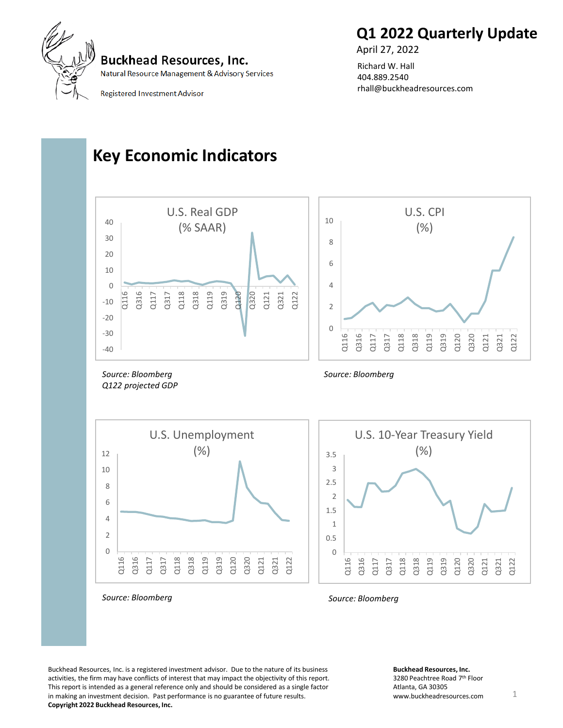



Natural Resource Management & Advisory Services

Registered Investment Advisor

#### Richard W. Hall 404.889.2540 rhall@buckheadresources.com

April 27, 2022

### **Key Economic Indicators**



Buckhead Resources, Inc. is a registered investment advisor. Due to the nature of its business activities, the firm may have conflicts of interest that may impact the objectivity of this report. This report is intended as a general reference only and should be considered as a single factor in making an investment decision. Past performance is no guarantee of future results. **Copyright 2022 Buckhead Resources, Inc.**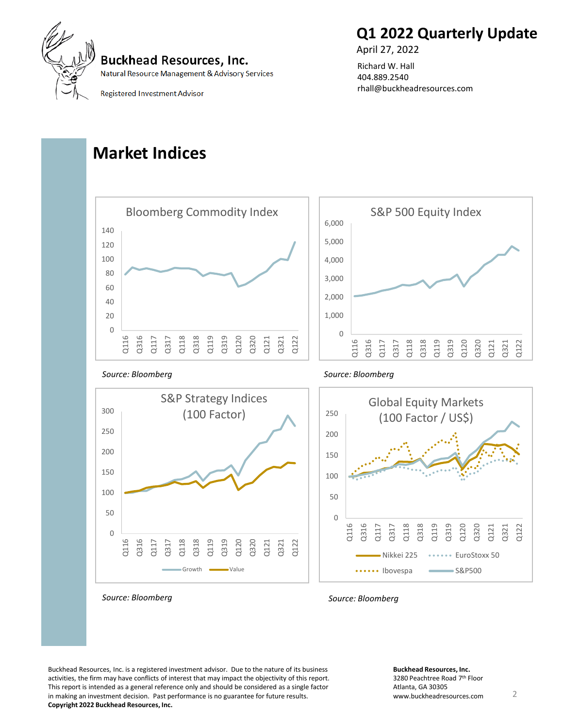



Natural Resource Management & Advisory Services

**Registered Investment Advisor** 

#### Richard W. Hall 404.889.2540 rhall@buckheadresources.com

April 27, 2022

### **Market Indices**



Q116 Q316  $\frac{11}{2}$ Q317  $\overline{c}$ Q318  $\overline{a}$ Q319 Q120 Q320 Q121 Q321 Q122

**Copyright 2022 Buckhead Resources, Inc.**

Buckhead Resources, Inc. is a registered investment advisor. Due to the nature of its business activities, the firm may have conflicts of interest that may impact the objectivity of this report. This report is intended as a general reference only and should be considered as a single factor in making an investment decision. Past performance is no guarantee for future results.

Growth Walue

*Source: Bloomberg Source: Bloomberg*

**Buckhead Resources, Inc.** 3280 Peachtree Road 7th Floor Atlanta, GA 30305 www.buckheadresources.com 2

Nikkei 225 ······· EuroStoxx 50

...... Ibovespa **Communist Contact S&P500**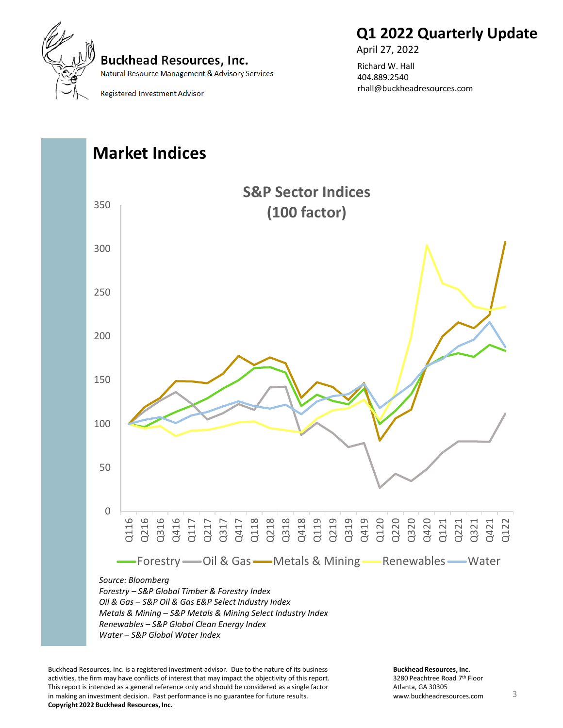

### **Q1 2022 Quarterly Update**

**Buckhead Resources, Inc.** Natural Resource Management & Advisory Services

**Registered Investment Advisor** 



April 27, 2022

# **Market Indices** *Source: Bloomberg Forestry – S&P Global Timber & Forestry Index* 0 50 100 150 200 250 300 350 Q116 Q216 Q316 Q416 Q117 Q217 Q317 Q417 Q118 Q218 Q318 Q418 Q119 Q219 Q319 Q419 Q120 Q220 Q320 Q420 Q121 Q221 Q321 Q421 Q122 **S&P Sector Indices (100 factor)**  -Forestry - Oil & Gas - Metals & Mining - Renewables - Water

*Oil & Gas – S&P Oil & Gas E&P Select Industry Index Metals & Mining – S&P Metals & Mining Select Industry Index Renewables – S&P Global Clean Energy Index*

*Water – S&P Global Water Index* 

Buckhead Resources, Inc. is a registered investment advisor. Due to the nature of its business activities, the firm may have conflicts of interest that may impact the objectivity of this report. This report is intended as a general reference only and should be considered as a single factor in making an investment decision. Past performance is no guarantee for future results. **Copyright 2022 Buckhead Resources, Inc.**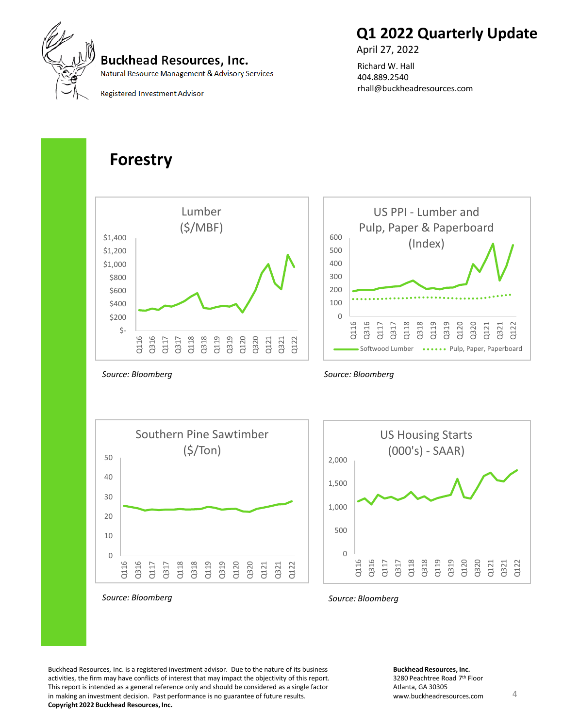

# **Q1 2022 Quarterly Update**

April 27, 2022

Richard W. Hall 404.889.2540 rhall@buckheadresources.com

**Registered Investment Advisor** 

### **Forestry**



0 100 200 300 400 500 600 Q116 Q316 Q11 Q317 Q118 Q318 Q119 Q319 Q120 Q320 Q121  $232$ Q122 US PPI - Lumber and Pulp, Paper & Paperboard (Index) Softwood Lumber ••••••• Pulp, Paper, Paperboard



*Source: Bloomberg*





*Source: Bloomberg Source: Bloomberg*

Buckhead Resources, Inc. is a registered investment advisor. Due to the nature of its business activities, the firm may have conflicts of interest that may impact the objectivity of this report. This report is intended as a general reference only and should be considered as a single factor in making an investment decision. Past performance is no guarantee of future results. **Copyright 2022 Buckhead Resources, Inc.**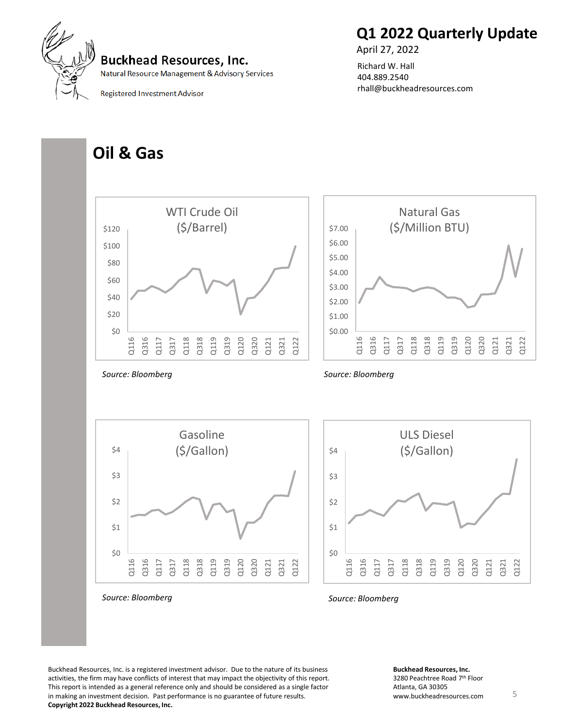

April 27, 2022 Richard W. Hall 404.889.2540

rhall@buckheadresources.com



**Buckhead Resources, Inc.** 

Natural Resource Management & Advisory Services

**Registered Investment Advisor** 

### **Oil & Gas**



\$0

Q116 Q316 Q117 Q317 Q118 Q318 Q119 Q319 Q120 Q320 Q121 Q321 Q122

\$1

\$2



Buckhead Resources, Inc. is a registered investment advisor. Due to the nature of its business activities, the firm may have conflicts of interest that may impact the objectivity of this report. This report is intended as a general reference only and should be considered as a single factor in making an investment decision. Past performance is no guarantee of future results.

**Copyright 2022 Buckhead Resources, Inc.**

3280 Peachtree Road 7th Floor Atlanta, GA 30305 www.buckheadresources.com 5

**Buckhead Resources, Inc.**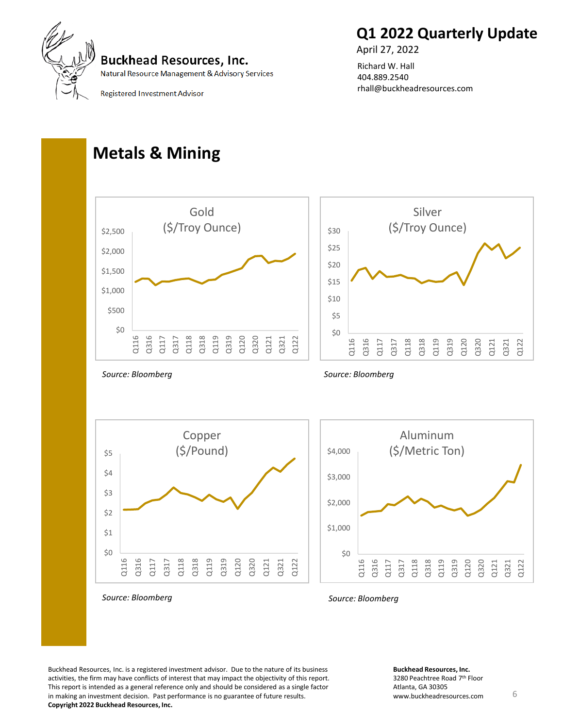



Natural Resource Management & Advisory Services

Registered Investment Advisor

#### April 27, 2022 Richard W. Hall 404.889.2540 rhall@buckheadresources.com

### **Metals & Mining**



*Source: Bloomberg*

*Source: Bloomberg*





*Source: Bloomberg Source: Bloomberg*

Buckhead Resources, Inc. is a registered investment advisor. Due to the nature of its business activities, the firm may have conflicts of interest that may impact the objectivity of this report. This report is intended as a general reference only and should be considered as a single factor in making an investment decision. Past performance is no guarantee of future results. **Copyright 2022 Buckhead Resources, Inc.**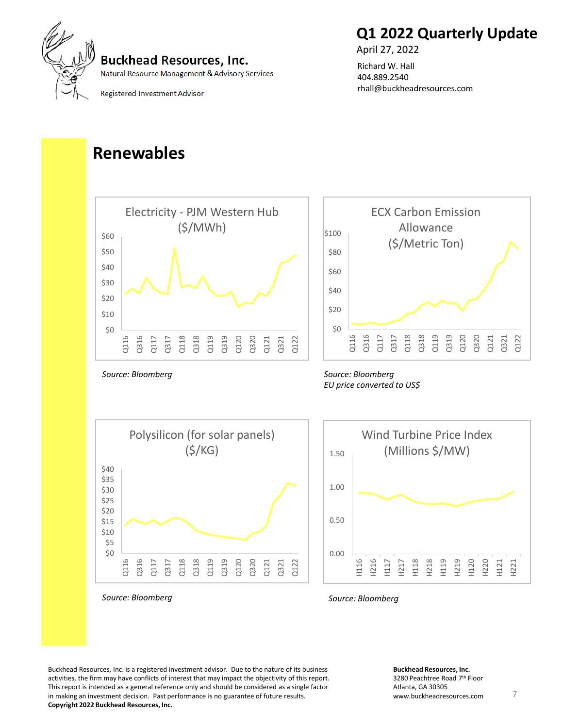

Natural Resource Management & Advisory Services

**Registered Investment Advisor** 

# **Q1 2022 Quarterly Update**

April 27, 2022

Richard W. Hall 404.889.2540 rhall@buckheadresources.com

# **Renewables**



*Source: Bloomberg*



ECX Carbon Emission

#### *Source: Bloomberg EU price converted to US\$*





*Source: Bloomberg Source: Bloomberg*

Buckhead Resources, Inc. is a registered investment advisor. Due to the nature of its business activities, the firm may have conflicts of interest that may impact the objectivity of this report. This report is intended as a general reference only and should be considered as a single factor in making an investment decision. Past performance is no guarantee of future results. **Copyright 2022 Buckhead Resources, Inc.**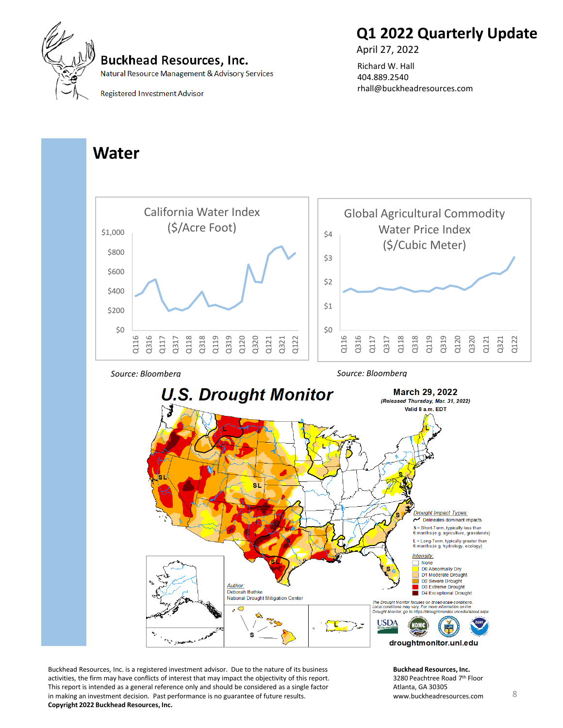

April 27, 2022 Richard W. Hall 404.889.2540

rhall@buckheadresources.com



#### **Buckhead Resources, Inc.**

Natural Resource Management & Advisory Services

**Registered Investment Advisor** 

### **Water**







Buckhead Resources, Inc. is a registered investment advisor. Due to the nature of its business activities, the firm may have conflicts of interest that may impact the objectivity of this report. This report is intended as a general reference only and should be considered as a single factor in making an investment decision. Past performance is no guarantee of future results. **Copyright 2022 Buckhead Resources, Inc.**